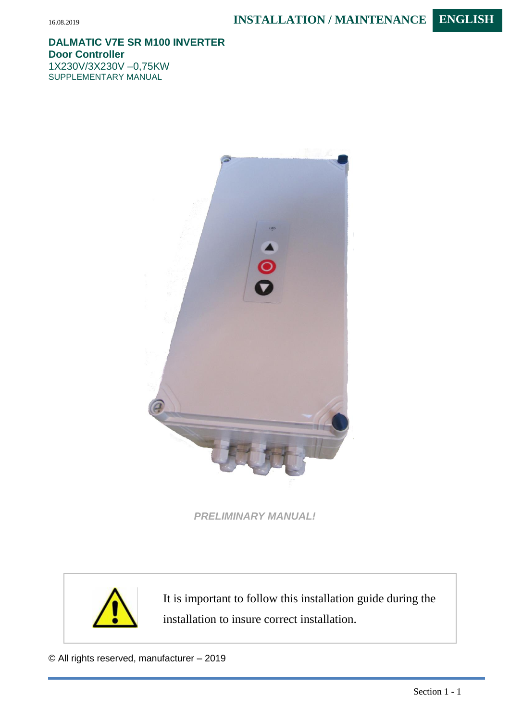#### **DALMATIC V7E SR M100 INVERTER Door Controller** 1X230V/3X230V –0,75KW SUPPLEMENTARY MANUAL



*PRELIMINARY MANUAL!*



It is important to follow this installation guide during the installation to insure correct installation.

© All rights reserved, manufacturer – 2019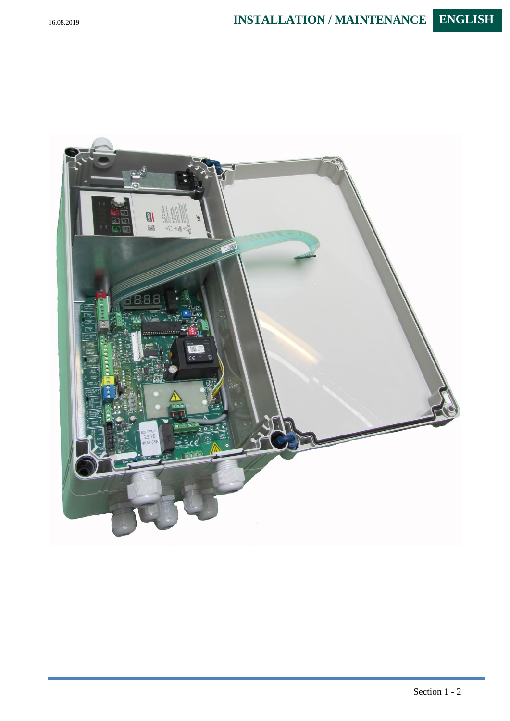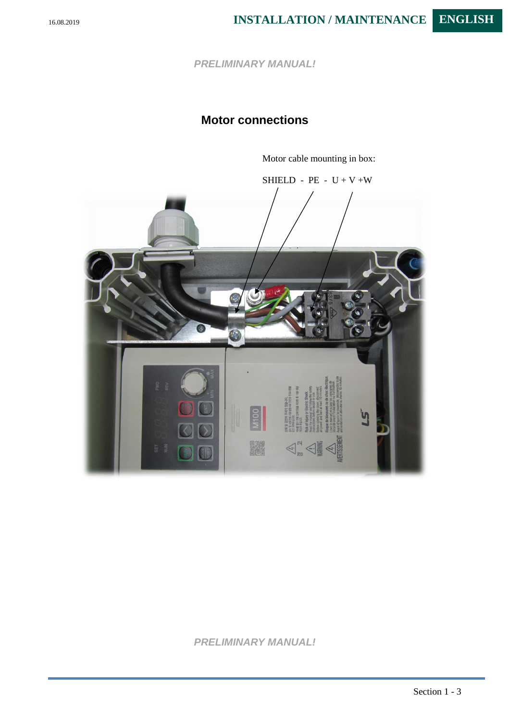*PRELIMINARY MANUAL!*

# **Motor connections**

Motor cable mounting in box:

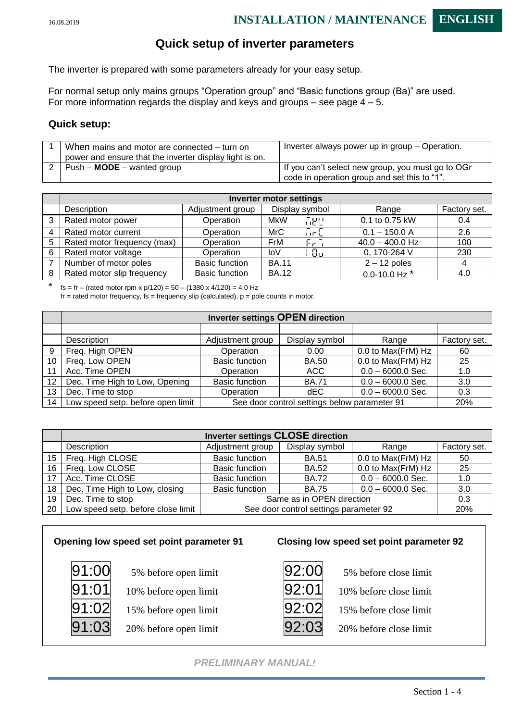## **Quick setup of inverter parameters**

The inverter is prepared with some parameters already for your easy setup.

For normal setup only mains groups "Operation group" and "Basic functions group (Ba)" are used. For more information regards the display and keys and groups – see page 4 – 5.

### **Quick setup:**

| When mains and motor are connected - turn on            | Inverter always power up in group – Operation.    |
|---------------------------------------------------------|---------------------------------------------------|
| power and ensure that the inverter display light is on. |                                                   |
| Push – $MODE$ – wanted group                            | If you can't select new group, you must go to OGr |
|                                                         | code in operation group and set this to "1".      |

|   | Inverter motor settings     |                       |                    |                   |              |  |  |  |
|---|-----------------------------|-----------------------|--------------------|-------------------|--------------|--|--|--|
|   | Description                 | Adjustment group      | Display symbol     | Range             | Factory set. |  |  |  |
| 3 | Rated motor power           | Operation             | MkW<br>유민민         | 0.1 to 0.75 kW    | 0.4          |  |  |  |
| 4 | Rated motor current         | Operation             | ne C<br><b>MrC</b> | $0.1 - 150.0 A$   | 2.6          |  |  |  |
| 5 | Rated motor frequency (max) | Operation             | Frū<br>FrM         | $40.0 - 400.0$ Hz | 100          |  |  |  |
| 6 | Rated motor voltage         | Operation             | θu<br>loV          | 0, 170-264 V      | 230          |  |  |  |
|   | Number of motor poles       | Basic function        | <b>BA.11</b>       | $2 - 12$ poles    |              |  |  |  |
| 8 | Rated motor slip frequency  | <b>Basic function</b> | <b>BA.12</b>       | 0.0-10.0 Hz *     | 4.0          |  |  |  |

 $fs = fr - (rated motor rpm x p/120) = 50 - (1380 x 4/120) = 4.0 Hz$ 

 $f =$  rated motor frequency,  $f =$  frequency slip (calculated),  $p =$  pole counts in motor.

|                 | <b>Inverter settings OPEN direction</b> |                                              |                |                     |              |  |
|-----------------|-----------------------------------------|----------------------------------------------|----------------|---------------------|--------------|--|
|                 |                                         |                                              |                |                     |              |  |
|                 | Description                             | Adjustment group                             | Display symbol | Range               | Factory set. |  |
| 9               | Freq. High OPEN                         | Operation                                    | 0.00           | 0.0 to Max(FrM) Hz  | 60           |  |
| 10              | Freq. Low OPEN                          | <b>Basic function</b>                        | <b>BA.50</b>   | 0.0 to Max(FrM) Hz  | 25           |  |
| 11              | Acc. Time OPEN                          | Operation                                    | ACC.           | $0.0 - 6000.0$ Sec. | 1.0          |  |
| 12 <sub>1</sub> | Dec. Time High to Low, Opening          | <b>Basic function</b>                        | <b>BA.71</b>   | $0.0 - 6000.0$ Sec. | 3.0          |  |
| 13              | Dec. Time to stop<br>Operation          |                                              | dEC            | $0.0 - 6000.0$ Sec. | 0.3          |  |
| 14              | Low speed setp. before open limit       | See door control settings below parameter 91 | 20%            |                     |              |  |

|    | <b>Inverter settings CLOSE direction</b> |                                        |                |                     |              |  |
|----|------------------------------------------|----------------------------------------|----------------|---------------------|--------------|--|
|    | Description                              | Adjustment group                       | Display symbol | Range               | Factory set. |  |
| 15 | Freq. High CLOSE                         | <b>Basic function</b>                  | <b>BA.51</b>   | 0.0 to Max(FrM) Hz  | 50           |  |
| 16 | Freq. Low CLOSE                          | <b>Basic function</b>                  | <b>BA.52</b>   | 0.0 to Max(FrM) Hz  | 25           |  |
| 17 | Acc. Time CLOSE                          | <b>Basic function</b>                  | <b>BA.72</b>   | $0.0 - 6000.0$ Sec. | 1.0          |  |
| 18 | Dec. Time High to Low, closing           | <b>Basic function</b>                  | <b>BA.75</b>   | $0.0 - 6000.0$ Sec. | 3.0          |  |
| 19 | Dec. Time to stop                        | Same as in OPEN direction              |                |                     | 0.3          |  |
| 20 | Low speed setp. before close limit       | See door control settings parameter 92 |                |                     | 20%          |  |

#### **Opening low speed set point parameter 91**



5% before open limit

10% before open limit

15% before open limit

 $1:03$  20% before open limit

#### **Closing low speed set point parameter 92**



 $92:00$  5% before close limit

 $92:01$  10% before close limit

15% before close limit

20% before close limit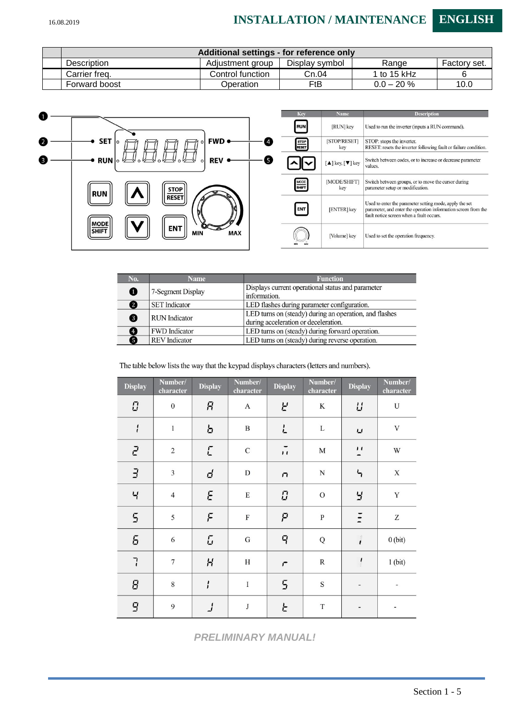# **INSTALLATION / MAINTENANCE**

| ENGLISH |  |  |
|---------|--|--|
|         |  |  |

| Additional settings - for reference only |                  |                |               |              |  |
|------------------------------------------|------------------|----------------|---------------|--------------|--|
| Adjustment group<br>Description          |                  | Display symbol | Range         | Factory set. |  |
| Carrier freg.                            | Control function |                | 1 to 15 $kHz$ |              |  |
| Forward boost                            | Operation        | FtB            | $0.0 - 20 \%$ | 10.0         |  |



| No. | <b>Name</b>          | <b>Function</b>                                                                                |
|-----|----------------------|------------------------------------------------------------------------------------------------|
| ❶   | 7-Segment Display    | Displays current operational status and parameter<br>information.                              |
| 2)  | <b>SET</b> Indicator | LED flashes during parameter configuration.                                                    |
| 8   | <b>RUN</b> Indicator | LED turns on (steady) during an operation, and flashes<br>during acceleration or deceleration. |
| 4   | <b>FWD</b> Indicator | LED turns on (steady) during forward operation.                                                |
| 6   | <b>REV</b> Indicator | LED turns on (steady) during reverse operation.                                                |

The table below lists the way that the keypad displays characters (letters and numbers).

| <b>Display</b>   | Number/<br>character    | <b>Display</b> | Number/<br>character      | <b>Display</b> | Number/<br>character | <b>Display</b> | Number/<br>character      |
|------------------|-------------------------|----------------|---------------------------|----------------|----------------------|----------------|---------------------------|
| Ū                | $\boldsymbol{0}$        | R              | $\mathbf{A}$              | Я              | $\rm K$              | П              | ${\bf U}$                 |
| $\mathbf{r}$     | $\mathbf{1}$            | ь              | $\, {\bf B}$              | L              | L                    | U              | $\mathbf V$               |
| $\vec{\epsilon}$ | $\overline{2}$          | С              | $\mathbf C$               | $\mathbf{H}$   | $\mathbf M$          | $\mathbf{I}$   | W                         |
| $\exists$        | $\overline{\mathbf{3}}$ | d              | $\mathbf D$               | п              | ${\bf N}$            | 4              | $\mathbf X$               |
| Ч                | $\overline{4}$          | Е              | $\mathbf E$               | Ū              | $\mathbf{O}$         | y              | $\mathbf Y$               |
| 5                | 5                       | F              | $\boldsymbol{\mathrm{F}}$ | Ρ              | ${\bf P}$            | $\overline{z}$ | $\ensuremath{\mathbf{Z}}$ |
| 5                | 6                       | G              | $\mathbf G$               | 9              | Q                    | $\ddot{i}$     | $0$ (bit)                 |
| 7                | $\overline{7}$          | Η              | $\rm H$                   | $\sqrt{ }$     | ${\bf R}$            | $\mathbf{I}$   | $1$ (bit)                 |
| 8                | $\,$ 8 $\,$             | I              | $\rm I$                   | 5              | $\mathbf S$          | -              | ۰                         |
| 9                | 9                       | ار             | $_{\rm J}$                | F              | T                    | ۰              |                           |